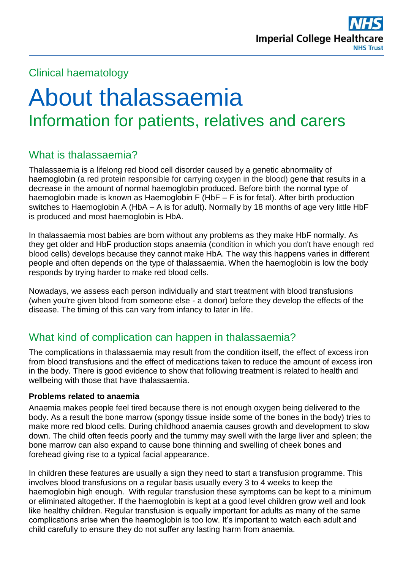

## Clinical haematology

# About thalassaemia Information for patients, relatives and carers

# What is thalassaemia?

Thalassaemia is a lifelong red blood cell disorder caused by a genetic abnormality of haemoglobin (a red protein responsible for carrying oxygen in the blood) gene that results in a decrease in the amount of normal haemoglobin produced. Before birth the normal type of haemoglobin made is known as Haemoglobin F (HbF – F is for fetal). After birth production switches to Haemoglobin A (HbA – A is for adult). Normally by 18 months of age very little HbF is produced and most haemoglobin is HbA.

In thalassaemia most babies are born without any problems as they make HbF normally. As they get older and HbF production stops anaemia (condition in which you don't have enough red blood cells) develops because they cannot make HbA. The way this happens varies in different people and often depends on the type of thalassaemia. When the haemoglobin is low the body responds by trying harder to make red blood cells.

Nowadays, we assess each person individually and start treatment with blood transfusions (when you're given blood from someone else - a donor) before they develop the effects of the disease. The timing of this can vary from infancy to later in life.

# What kind of complication can happen in thalassaemia?

The complications in thalassaemia may result from the condition itself, the effect of excess iron from blood transfusions and the effect of medications taken to reduce the amount of excess iron in the body. There is good evidence to show that following treatment is related to health and wellbeing with those that have thalassaemia.

#### **Problems related to anaemia**

Anaemia makes people feel tired because there is not enough oxygen being delivered to the body. As a result the bone marrow (spongy tissue inside some of the bones in the body) tries to make more red blood cells. During childhood anaemia causes growth and development to slow down. The child often feeds poorly and the tummy may swell with the large liver and spleen; the bone marrow can also expand to cause bone thinning and swelling of cheek bones and forehead giving rise to a typical facial appearance.

In children these features are usually a sign they need to start a transfusion programme. This involves blood transfusions on a regular basis usually every 3 to 4 weeks to keep the haemoglobin high enough. With regular transfusion these symptoms can be kept to a minimum or eliminated altogether. If the haemoglobin is kept at a good level children grow well and look like healthy children. Regular transfusion is equally important for adults as many of the same complications arise when the haemoglobin is too low. It's important to watch each adult and child carefully to ensure they do not suffer any lasting harm from anaemia.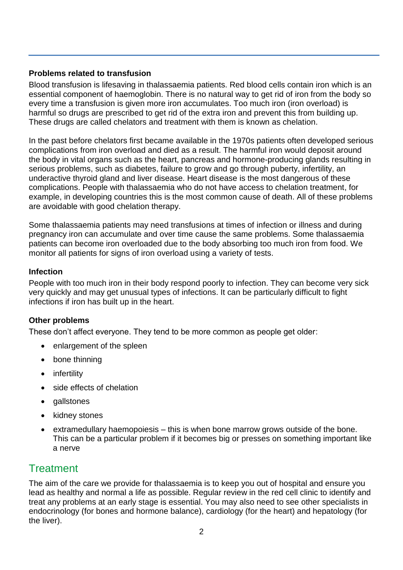#### **Problems related to transfusion**

Blood transfusion is lifesaving in thalassaemia patients. Red blood cells contain iron which is an essential component of haemoglobin. There is no natural way to get rid of iron from the body so every time a transfusion is given more iron accumulates. Too much iron (iron overload) is harmful so drugs are prescribed to get rid of the extra iron and prevent this from building up. These drugs are called chelators and treatment with them is known as chelation.

In the past before chelators first became available in the 1970s patients often developed serious complications from iron overload and died as a result. The harmful iron would deposit around the body in vital organs such as the heart, pancreas and hormone-producing glands resulting in serious problems, such as diabetes, failure to grow and go through puberty, infertility, an underactive thyroid gland and liver disease. Heart disease is the most dangerous of these complications. People with thalassaemia who do not have access to chelation treatment, for example, in developing countries this is the most common cause of death. All of these problems are avoidable with good chelation therapy.

Some thalassaemia patients may need transfusions at times of infection or illness and during pregnancy iron can accumulate and over time cause the same problems. Some thalassaemia patients can become iron overloaded due to the body absorbing too much iron from food. We monitor all patients for signs of iron overload using a variety of tests.

#### **Infection**

People with too much iron in their body respond poorly to infection. They can become very sick very quickly and may get unusual types of infections. It can be particularly difficult to fight infections if iron has built up in the heart.

#### **Other problems**

These don't affect everyone. They tend to be more common as people get older:

- enlargement of the spleen
- bone thinning
- infertility
- side effects of chelation
- gallstones
- kidney stones
- extramedullary haemopoiesis this is when bone marrow grows outside of the bone. This can be a particular problem if it becomes big or presses on something important like a nerve

# **Treatment**

The aim of the care we provide for thalassaemia is to keep you out of hospital and ensure you lead as healthy and normal a life as possible. Regular review in the red cell clinic to identify and treat any problems at an early stage is essential. You may also need to see other specialists in endocrinology (for bones and hormone balance), cardiology (for the heart) and hepatology (for the liver).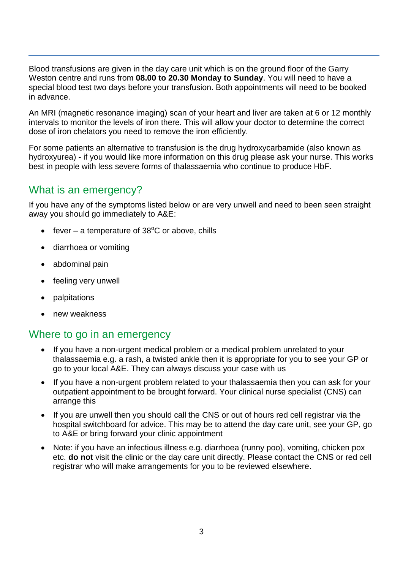Blood transfusions are given in the day care unit which is on the ground floor of the Garry Weston centre and runs from **08.00 to 20.30 Monday to Sunday**. You will need to have a special blood test two days before your transfusion. Both appointments will need to be booked in advance.

An MRI (magnetic resonance imaging) scan of your heart and liver are taken at 6 or 12 monthly intervals to monitor the levels of iron there. This will allow your doctor to determine the correct dose of iron chelators you need to remove the iron efficiently.

For some patients an alternative to transfusion is the drug hydroxycarbamide (also known as hydroxyurea) - if you would like more information on this drug please ask your nurse. This works best in people with less severe forms of thalassaemia who continue to produce HbF.

## What is an emergency?

If you have any of the symptoms listed below or are very unwell and need to been seen straight away you should go immediately to A&E:

- fever a temperature of  $38^{\circ}$ C or above, chills
- diarrhoea or vomiting
- abdominal pain
- feeling very unwell
- palpitations
- new weakness

#### Where to go in an emergency

- If you have a non-urgent medical problem or a medical problem unrelated to your thalassaemia e.g. a rash, a twisted ankle then it is appropriate for you to see your GP or go to your local A&E. They can always discuss your case with us
- If you have a non-urgent problem related to your thalassaemia then you can ask for your outpatient appointment to be brought forward. Your clinical nurse specialist (CNS) can arrange this
- If you are unwell then you should call the CNS or out of hours red cell registrar via the hospital switchboard for advice. This may be to attend the day care unit, see your GP, go to A&E or bring forward your clinic appointment
- Note: if you have an infectious illness e.g. diarrhoea (runny poo), vomiting, chicken pox etc. **do not** visit the clinic or the day care unit directly. Please contact the CNS or red cell registrar who will make arrangements for you to be reviewed elsewhere.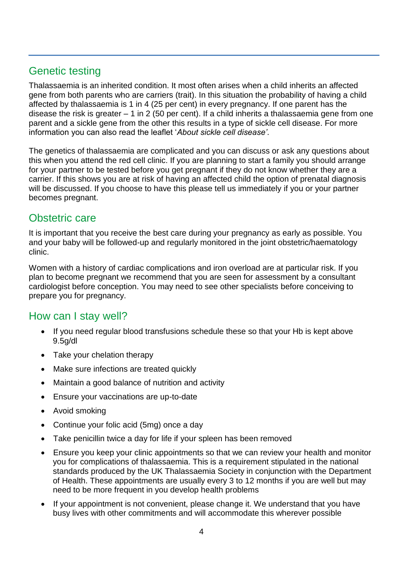# Genetic testing

Thalassaemia is an inherited condition. It most often arises when a child inherits an affected gene from both parents who are carriers (trait). In this situation the probability of having a child affected by thalassaemia is 1 in 4 (25 per cent) in every pregnancy. If one parent has the disease the risk is greater – 1 in 2 (50 per cent). If a child inherits a thalassaemia gene from one parent and a sickle gene from the other this results in a type of sickle cell disease. For more information you can also read the leaflet '*About sickle cell disease'*.

The genetics of thalassaemia are complicated and you can discuss or ask any questions about this when you attend the red cell clinic. If you are planning to start a family you should arrange for your partner to be tested before you get pregnant if they do not know whether they are a carrier. If this shows you are at risk of having an affected child the option of prenatal diagnosis will be discussed. If you choose to have this please tell us immediately if you or your partner becomes pregnant.

#### Obstetric care

It is important that you receive the best care during your pregnancy as early as possible. You and your baby will be followed-up and regularly monitored in the joint obstetric/haematology clinic.

Women with a history of cardiac complications and iron overload are at particular risk. If you plan to become pregnant we recommend that you are seen for assessment by a consultant cardiologist before conception. You may need to see other specialists before conceiving to prepare you for pregnancy.

## How can I stay well?

- If you need regular blood transfusions schedule these so that your Hb is kept above 9.5g/dl
- Take your chelation therapy
- Make sure infections are treated quickly
- Maintain a good balance of nutrition and activity
- Ensure your vaccinations are up-to-date
- Avoid smoking
- Continue your folic acid (5mg) once a day
- Take penicillin twice a day for life if your spleen has been removed
- Ensure you keep your clinic appointments so that we can review your health and monitor you for complications of thalassaemia. This is a requirement stipulated in the national standards produced by the UK Thalassaemia Society in conjunction with the Department of Health. These appointments are usually every 3 to 12 months if you are well but may need to be more frequent in you develop health problems
- If your appointment is not convenient, please change it. We understand that you have busy lives with other commitments and will accommodate this wherever possible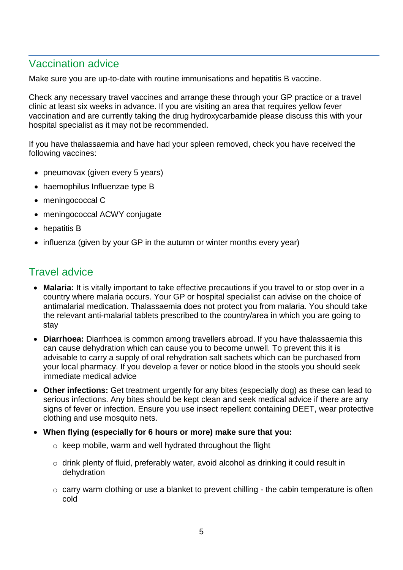## Vaccination advice

Make sure you are up-to-date with routine immunisations and hepatitis B vaccine.

Check any necessary travel vaccines and arrange these through your GP practice or a travel clinic at least six weeks in advance. If you are visiting an area that requires yellow fever vaccination and are currently taking the drug hydroxycarbamide please discuss this with your hospital specialist as it may not be recommended.

If you have thalassaemia and have had your spleen removed, check you have received the following vaccines:

- pneumovax (given every 5 years)
- haemophilus Influenzae type B
- meningococcal C
- meningococcal ACWY conjugate
- hepatitis B
- influenza (given by your GP in the autumn or winter months every year)

#### Travel advice

- **Malaria:** It is vitally important to take effective precautions if you travel to or stop over in a country where malaria occurs. Your GP or hospital specialist can advise on the choice of antimalarial medication. Thalassaemia does not protect you from malaria. You should take the relevant anti-malarial tablets prescribed to the country/area in which you are going to stay
- **Diarrhoea:** Diarrhoea is common among travellers abroad. If you have thalassaemia this can cause dehydration which can cause you to become unwell. To prevent this it is advisable to carry a supply of oral rehydration salt sachets which can be purchased from your local pharmacy. If you develop a fever or notice blood in the stools you should seek immediate medical advice
- **Other infections:** Get treatment urgently for any bites (especially dog) as these can lead to serious infections. Any bites should be kept clean and seek medical advice if there are any signs of fever or infection. Ensure you use insect repellent containing DEET, wear protective clothing and use mosquito nets.
- **When flying (especially for 6 hours or more) make sure that you:** 
	- o keep mobile, warm and well hydrated throughout the flight
	- o drink plenty of fluid, preferably water, avoid alcohol as drinking it could result in dehydration
	- o carry warm clothing or use a blanket to prevent chilling the cabin temperature is often cold